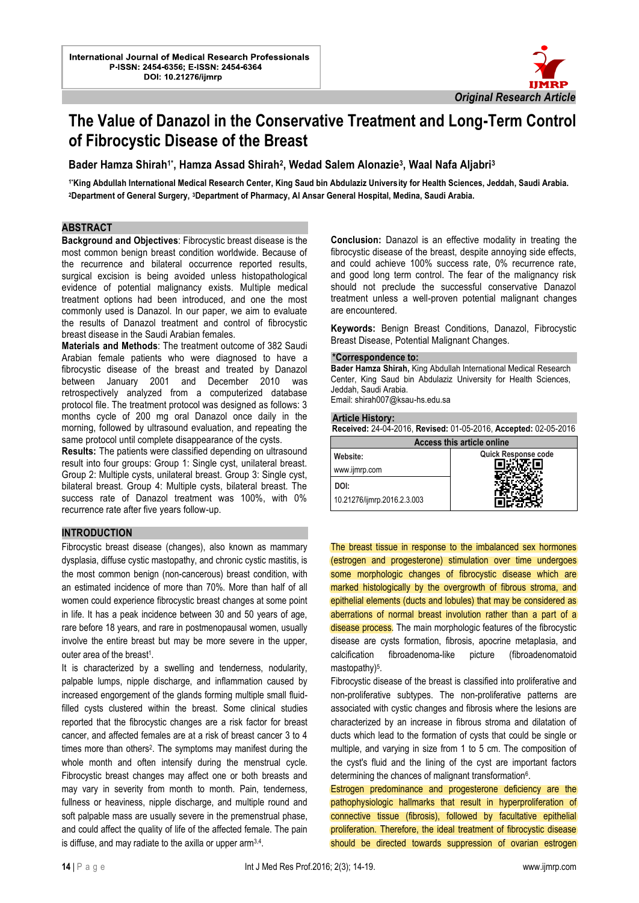

# **The Value of Danazol in the Conservative Treatment and Long-Term Control of Fibrocystic Disease of the Breast**

l

**Bader Hamza Shirah1\*, Hamza Assad Shirah<sup>2</sup> , Wedad Salem Alonazie<sup>3</sup> , Waal Nafa Aljabri<sup>3</sup>**

**1\*King Abdullah International Medical Research Center, King Saud bin Abdulaziz University for Health Sciences, Jeddah, Saudi Arabia. <sup>2</sup>Department of General Surgery, 3Department of Pharmacy, Al Ansar General Hospital, Medina, Saudi Arabia.**

### **ABSTRACT**

**Background and Objectives**: Fibrocystic breast disease is the most common benign breast condition worldwide. Because of the recurrence and bilateral occurrence reported results, surgical excision is being avoided unless histopathological evidence of potential malignancy exists. Multiple medical treatment options had been introduced, and one the most commonly used is Danazol. In our paper, we aim to evaluate the results of Danazol treatment and control of fibrocystic breast disease in the Saudi Arabian females.

**Materials and Methods**: The treatment outcome of 382 Saudi Arabian female patients who were diagnosed to have a fibrocystic disease of the breast and treated by Danazol between January 2001 and December 2010 was retrospectively analyzed from a computerized database protocol file. The treatment protocol was designed as follows: 3 months cycle of 200 mg oral Danazol once daily in the morning, followed by ultrasound evaluation, and repeating the same protocol until complete disappearance of the cysts.

**Results:** The patients were classified depending on ultrasound result into four groups: Group 1: Single cyst, unilateral breast. Group 2: Multiple cysts, unilateral breast. Group 3: Single cyst, bilateral breast. Group 4: Multiple cysts, bilateral breast. The success rate of Danazol treatment was 100%, with 0% recurrence rate after five years follow-up.

#### **INTRODUCTION**

Fibrocystic breast disease (changes), also known as mammary dysplasia, diffuse cystic mastopathy, and chronic cystic mastitis, is the most common benign (non-cancerous) breast condition, with an estimated incidence of more than 70%. More than half of all women could experience fibrocystic breast changes at some point in life. It has a peak incidence between 30 and 50 years of age, rare before 18 years, and rare in postmenopausal women, usually involve the entire breast but may be more severe in the upper, outer area of the breast<sup>1</sup>.

It is characterized by a swelling and tenderness, nodularity, palpable lumps, nipple discharge, and inflammation caused by increased engorgement of the glands forming multiple small fluidfilled cysts clustered within the breast. Some clinical studies reported that the fibrocystic changes are a risk factor for breast cancer, and affected females are at a risk of breast cancer 3 to 4 times more than others<sup>2</sup>. The symptoms may manifest during the whole month and often intensify during the menstrual cycle. Fibrocystic breast changes may affect one or both breasts and may vary in severity from month to month. Pain, tenderness, fullness or heaviness, nipple discharge, and multiple round and soft palpable mass are usually severe in the premenstrual phase, and could affect the quality of life of the affected female. The pain is diffuse, and may radiate to the axilla or upper arm<sup>3,4</sup>.

**Conclusion:** Danazol is an effective modality in treating the fibrocystic disease of the breast, despite annoying side effects, and could achieve 100% success rate, 0% recurrence rate, and good long term control. The fear of the malignancy risk should not preclude the successful conservative Danazol treatment unless a well-proven potential malignant changes are encountered.

**Keywords:** Benign Breast Conditions, Danazol, Fibrocystic Breast Disease, Potential Malignant Changes.

#### **\*Correspondence to:**

**Bader Hamza Shirah,** King Abdullah International Medical Research Center, King Saud bin Abdulaziz University for Health Sciences, Jeddah, Saudi Arabia.

Email: [shirah007@ksau-hs.edu.sa](mailto:shirah007@ksau-hs.edu.sa)

#### **Article History:**

**Received:** 24-04-2016, **Revised:** 01-05-2016, **Accepted:** 02-05-2016

| <b>Access this article online</b> |                     |
|-----------------------------------|---------------------|
| Website:                          | Quick Response code |
| www.ijmrp.com                     |                     |
| DOI:                              |                     |
| 10.21276/ijmrp.2016.2.3.003       |                     |

The breast tissue in response to the imbalanced sex hormones (estrogen and progesterone) stimulation over time undergoes some morphologic changes of fibrocystic disease which are marked histologically by the overgrowth of fibrous stroma, and epithelial elements (ducts and lobules) that may be considered as aberrations of normal breast involution rather than a part of a disease process. The main morphologic features of the fibrocystic disease are cysts formation, fibrosis, apocrine metaplasia, and calcification fibroadenoma-like picture (fibroadenomatoid mastopathy)<sup>5</sup>.

Fibrocystic disease of the breast is classified into proliferative and non-proliferative subtypes. The non-proliferative patterns are associated with cystic changes and fibrosis where the lesions are characterized by an increase in fibrous stroma and dilatation of ducts which lead to the formation of cysts that could be single or multiple, and varying in size from 1 to 5 cm. The composition of the cyst's fluid and the lining of the cyst are important factors determining the chances of malignant transformation<sup>6</sup>.

Estrogen predominance and progesterone deficiency are the pathophysiologic hallmarks that result in hyperproliferation of connective tissue (fibrosis), followed by facultative epithelial proliferation. Therefore, the ideal treatment of fibrocystic disease should be directed towards suppression of ovarian estrogen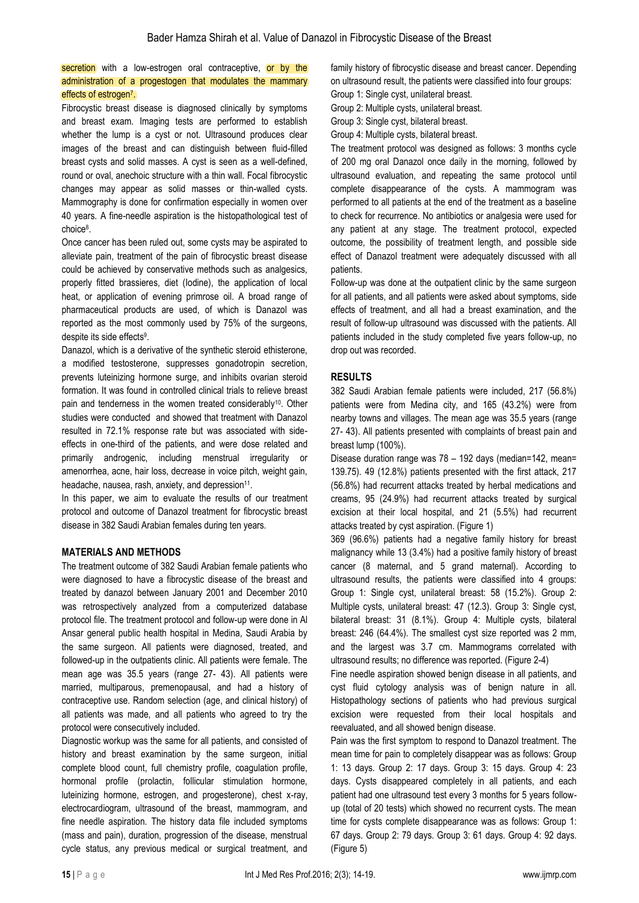## secretion with a low-estrogen oral contraceptive, or by the administration of a progestogen that modulates the mammary effects of estrogen<sup>7</sup>.

Fibrocystic breast disease is diagnosed clinically by symptoms and [breast exam.](https://en.wikipedia.org/wiki/Breast_exam) Imaging tests are performed to establish whether the lump is a cyst or not. Ultrasound produces clear images of the breast and can distinguish between fluid-filled breast cysts and solid masses. A cyst is seen as a well-defined, round or oval, anechoic structure with a thin wall. Focal fibrocystic changes may appear as solid masses or thin-walled cysts. Mammography is done for confirmation especially in women over 40 years. A fine-needle aspiration is the histopathological test of choice<sup>8</sup> .

Once cancer has been ruled out, some cysts may be aspirated to alleviate pain, treatment of the pain of fibrocystic breast disease could be achieved by conservative methods such as analgesics, properly fitted brassieres, diet (Iodine), the application of local heat, or application of evening primrose oil. A broad range of pharmaceutical products are used, of which is Danazol was reported as the most commonly used by 75% of the surgeons, despite its side effects<sup>9</sup>.

Danazol, which is a derivative of the synthetic steroid ethisterone, a modified testosterone, suppresses gonadotropin secretion, prevents luteinizing hormone surge, and inhibits ovarian steroid formation. It was found in controlled clinical trials to relieve breast pain and tenderness in the women treated considerably<sup>10</sup>. Other studies were conducted and showed that treatment with Danazol resulted in 72.1% response rate but was associated with sideeffects in one-third of the patients, and were dose related and primarily androgenic, including menstrual irregularity or amenorrhea, acne, hair loss, decrease in voice pitch, weight gain, headache, nausea, rash, anxiety, and depression<sup>11</sup>.

In this paper, we aim to evaluate the results of our treatment protocol and outcome of Danazol treatment for fibrocystic breast disease in 382 Saudi Arabian females during ten years.

#### **MATERIALS AND METHODS**

The treatment outcome of 382 Saudi Arabian female patients who were diagnosed to have a fibrocystic disease of the breast and treated by danazol between January 2001 and December 2010 was retrospectively analyzed from a computerized database protocol file. The treatment protocol and follow-up were done in Al Ansar general public health hospital in Medina, Saudi Arabia by the same surgeon. All patients were diagnosed, treated, and followed-up in the outpatients clinic. All patients were female. The mean age was 35.5 years (range 27- 43). All patients were married, multiparous, premenopausal, and had a history of contraceptive use. Random selection (age, and clinical history) of all patients was made, and all patients who agreed to try the protocol were consecutively included.

Diagnostic workup was the same for all patients, and consisted of history and breast examination by the same surgeon, initial complete blood count, full chemistry profile, coagulation profile, hormonal profile (prolactin, follicular stimulation hormone, luteinizing hormone, estrogen, and progesterone), chest x-ray, electrocardiogram, ultrasound of the breast, mammogram, and fine needle aspiration. The history data file included symptoms (mass and pain), duration, progression of the disease, menstrual cycle status, any previous medical or surgical treatment, and

family history of fibrocystic disease and breast cancer. Depending on ultrasound result, the patients were classified into four groups: Group 1: Single cyst, unilateral breast.

Group 2: Multiple cysts, unilateral breast.

Group 3: Single cyst, bilateral breast.

Group 4: Multiple cysts, bilateral breast.

The treatment protocol was designed as follows: 3 months cycle of 200 mg oral Danazol once daily in the morning, followed by ultrasound evaluation, and repeating the same protocol until complete disappearance of the cysts. A mammogram was performed to all patients at the end of the treatment as a baseline to check for recurrence. No antibiotics or analgesia were used for any patient at any stage. The treatment protocol, expected outcome, the possibility of treatment length, and possible side effect of Danazol treatment were adequately discussed with all patients.

Follow-up was done at the outpatient clinic by the same surgeon for all patients, and all patients were asked about symptoms, side effects of treatment, and all had a breast examination, and the result of follow-up ultrasound was discussed with the patients. All patients included in the study completed five years follow-up, no drop out was recorded.

#### **RESULTS**

382 Saudi Arabian female patients were included, 217 (56.8%) patients were from Medina city, and 165 (43.2%) were from nearby towns and villages. The mean age was 35.5 years (range 27- 43). All patients presented with complaints of breast pain and breast lump (100%).

Disease duration range was 78 – 192 days (median=142, mean= 139.75). 49 (12.8%) patients presented with the first attack, 217 (56.8%) had recurrent attacks treated by herbal medications and creams, 95 (24.9%) had recurrent attacks treated by surgical excision at their local hospital, and 21 (5.5%) had recurrent attacks treated by cyst aspiration. (Figure 1)

369 (96.6%) patients had a negative family history for breast malignancy while 13 (3.4%) had a positive family history of breast cancer (8 maternal, and 5 grand maternal). According to ultrasound results, the patients were classified into 4 groups: Group 1: Single cyst, unilateral breast: 58 (15.2%). Group 2: Multiple cysts, unilateral breast: 47 (12.3). Group 3: Single cyst, bilateral breast: 31 (8.1%). Group 4: Multiple cysts, bilateral breast: 246 (64.4%). The smallest cyst size reported was 2 mm, and the largest was 3.7 cm. Mammograms correlated with ultrasound results; no difference was reported. (Figure 2-4)

Fine needle aspiration showed benign disease in all patients, and cyst fluid cytology analysis was of benign nature in all. Histopathology sections of patients who had previous surgical excision were requested from their local hospitals and reevaluated, and all showed benign disease.

Pain was the first symptom to respond to Danazol treatment. The mean time for pain to completely disappear was as follows: Group 1: 13 days. Group 2: 17 days. Group 3: 15 days. Group 4: 23 days. Cysts disappeared completely in all patients, and each patient had one ultrasound test every 3 months for 5 years followup (total of 20 tests) which showed no recurrent cysts. The mean time for cysts complete disappearance was as follows: Group 1: 67 days. Group 2: 79 days. Group 3: 61 days. Group 4: 92 days. (Figure 5)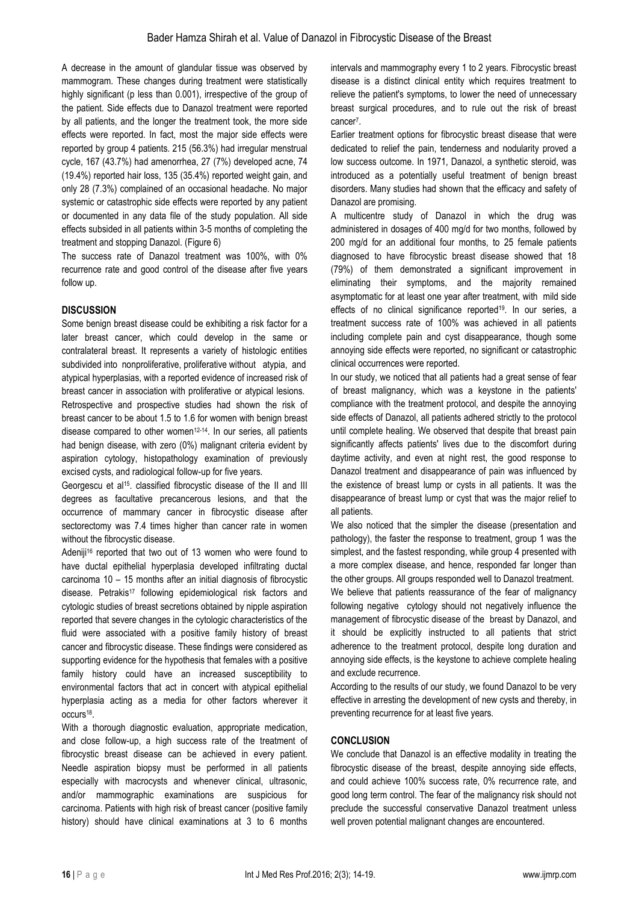A decrease in the amount of glandular tissue was observed by mammogram. These changes during treatment were statistically highly significant (p less than 0.001), irrespective of the group of the patient. Side effects due to Danazol treatment were reported by all patients, and the longer the treatment took, the more side effects were reported. In fact, most the major side effects were reported by group 4 patients. 215 (56.3%) had irregular menstrual cycle, 167 (43.7%) had amenorrhea, 27 (7%) developed acne, 74 (19.4%) reported hair loss, 135 (35.4%) reported weight gain, and only 28 (7.3%) complained of an occasional headache. No major systemic or catastrophic side effects were reported by any patient or documented in any data file of the study population. All side effects subsided in all patients within 3-5 months of completing the treatment and stopping Danazol. (Figure 6)

The success rate of Danazol treatment was 100%, with 0% recurrence rate and good control of the disease after five years follow up.

# **DISCUSSION**

Some benign breast disease could be exhibiting a risk factor for a later breast cancer, which could develop in the same or contralateral breast. It represents a variety of histologic entities subdivided into nonproliferative, proliferative without atypia, and atypical hyperplasias, with a reported evidence of increased risk of breast cancer in association with proliferative or atypical lesions. Retrospective and prospective studies had shown the risk of breast cancer to be about 1.5 to 1.6 for women with benign breast disease compared to other women<sup>12-14</sup>. In our series, all patients

had benign disease, with zero (0%) malignant criteria evident by aspiration cytology, histopathology examination of previously excised cysts, and radiological follow-up for five years.

Georgescu et al<sup>15</sup>. classified fibrocystic disease of the II and III degrees as facultative precancerous lesions, and that the occurrence of mammary cancer in fibrocystic disease after sectorectomy was 7.4 times higher than cancer rate in women without the fibrocystic disease.

Adeniji<sup>16</sup> reported that two out of 13 women who were found to have ductal epithelial hyperplasia developed infiltrating ductal carcinoma 10 – 15 months after an initial diagnosis of fibrocystic disease. Petrakis<sup>17</sup> following epidemiological risk factors and cytologic studies of breast secretions obtained by nipple aspiration reported that severe changes in the cytologic characteristics of the fluid were associated with a positive family history of breast cancer and fibrocystic disease. These findings were considered as supporting evidence for the hypothesis that females with a positive family history could have an increased susceptibility to environmental factors that act in concert with atypical epithelial hyperplasia acting as a media for other factors wherever it occurs<sup>18</sup>.

With a thorough diagnostic evaluation, appropriate medication, and close follow-up, a high success rate of the treatment of fibrocystic breast disease can be achieved in every patient. Needle aspiration biopsy must be performed in all patients especially with macrocysts and whenever clinical, ultrasonic, and/or mammographic examinations are suspicious for carcinoma. Patients with high risk of breast cancer (positive family history) should have clinical examinations at 3 to 6 months

intervals and mammography every 1 to 2 years. Fibrocystic breast disease is a distinct clinical entity which requires treatment to relieve the patient's symptoms, to lower the need of unnecessary breast surgical procedures, and to rule out the risk of breast cancer<sup>7</sup>.

Earlier treatment options for fibrocystic breast disease that were dedicated to relief the pain, tenderness and nodularity proved a low success outcome. In 1971, Danazol, a synthetic steroid, was introduced as a potentially useful treatment of benign breast disorders. Many studies had shown that the efficacy and safety of Danazol are promising.

A multicentre study of Danazol in which the drug was administered in dosages of 400 mg/d for two months, followed by 200 mg/d for an additional four months, to 25 female patients diagnosed to have fibrocystic breast disease showed that 18 (79%) of them demonstrated a significant improvement in eliminating their symptoms, and the majority remained asymptomatic for at least one year after treatment, with mild side effects of no clinical significance reported<sup>19</sup>. In our series, a treatment success rate of 100% was achieved in all patients including complete pain and cyst disappearance, though some annoying side effects were reported, no significant or catastrophic clinical occurrences were reported.

In our study, we noticed that all patients had a great sense of fear of breast malignancy, which was a keystone in the patients' compliance with the treatment protocol, and despite the annoying side effects of Danazol, all patients adhered strictly to the protocol until complete healing. We observed that despite that breast pain significantly affects patients' lives due to the discomfort during daytime activity, and even at night rest, the good response to Danazol treatment and disappearance of pain was influenced by the existence of breast lump or cysts in all patients. It was the disappearance of breast lump or cyst that was the major relief to all patients.

We also noticed that the simpler the disease (presentation and pathology), the faster the response to treatment, group 1 was the simplest, and the fastest responding, while group 4 presented with a more complex disease, and hence, responded far longer than the other groups. All groups responded well to Danazol treatment.

We believe that patients reassurance of the fear of malignancy following negative cytology should not negatively influence the management of fibrocystic disease of the breast by Danazol, and it should be explicitly instructed to all patients that strict adherence to the treatment protocol, despite long duration and annoying side effects, is the keystone to achieve complete healing and exclude recurrence.

According to the results of our study, we found Danazol to be very effective in arresting the development of new cysts and thereby, in preventing recurrence for at least five years.

# **CONCLUSION**

We conclude that Danazol is an effective modality in treating the fibrocystic disease of the breast, despite annoying side effects, and could achieve 100% success rate, 0% recurrence rate, and good long term control. The fear of the malignancy risk should not preclude the successful conservative Danazol treatment unless well proven potential malignant changes are encountered.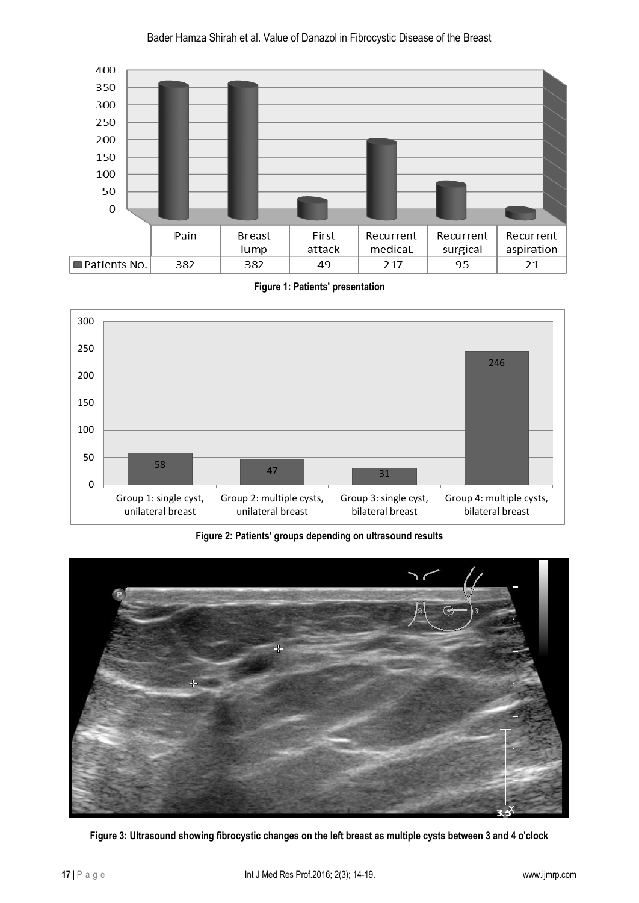





**Figure 2: Patients' groups depending on ultrasound results**



**Figure 3: Ultrasound showing fibrocystic changes on the left breast as multiple cysts between 3 and 4 o'clock**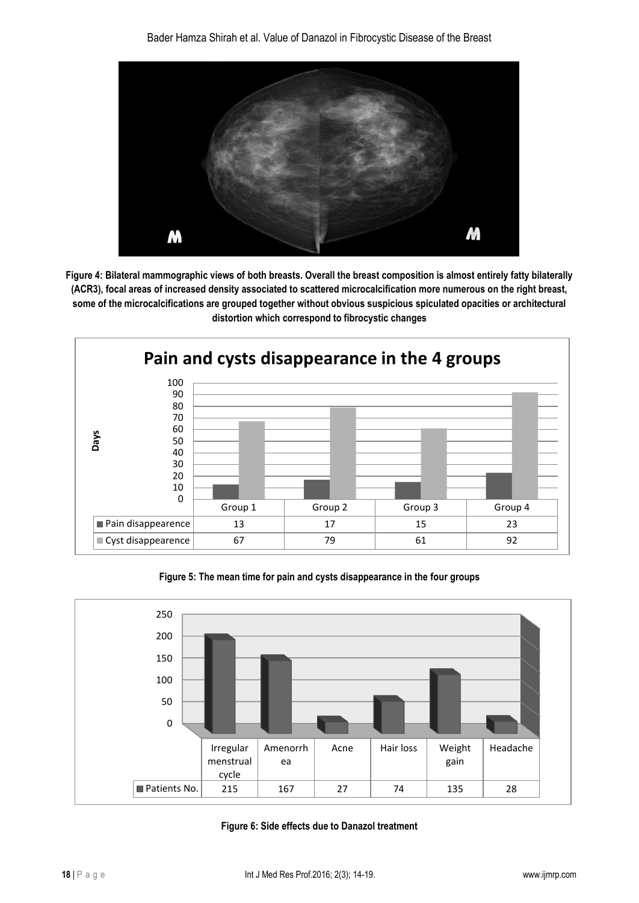

**Figure 4: Bilateral mammographic views of both breasts. Overall the breast composition is almost entirely fatty bilaterally (ACR3), focal areas of increased density associated to scattered microcalcification more numerous on the right breast, some of the microcalcifications are grouped together without obvious suspicious spiculated opacities or architectural distortion which correspond to fibrocystic changes**



**Figure 5: The mean time for pain and cysts disappearance in the four groups**